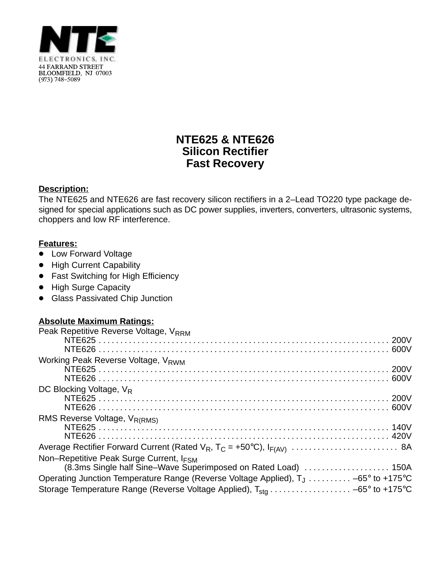

# **NTE625 & NTE626 Silicon Rectifier Fast Recovery**

### **Description:**

The NTE625 and NTE626 are fast recovery silicon rectifiers in a 2–Lead TO220 type package designed for special applications such as DC power supplies, inverters, converters, ultrasonic systems, choppers and low RF interference.

### **Features:**

- Low Forward Voltage
- High Current Capability
- Fast Switching for High Efficiency
- High Surge Capacity
- **Glass Passivated Chip Junction**

#### **Absolute Maximum Ratings:**

| Peak Repetitive Reverse Voltage, VRRM                                                                     |  |
|-----------------------------------------------------------------------------------------------------------|--|
| Working Peak Reverse Voltage, V <sub>RWM</sub>                                                            |  |
| DC Blocking Voltage, V <sub>R</sub>                                                                       |  |
| RMS Reverse Voltage, V <sub>R(RMS)</sub>                                                                  |  |
|                                                                                                           |  |
| Non-Repetitive Peak Surge Current, IFSM<br>(8.3ms Single half Sine-Wave Superimposed on Rated Load)  150A |  |
| Operating Junction Temperature Range (Reverse Voltage Applied), T <sub>J</sub> -65° to +175°C             |  |
| Storage Temperature Range (Reverse Voltage Applied), $T_{sta}$ -65° to +175°C                             |  |